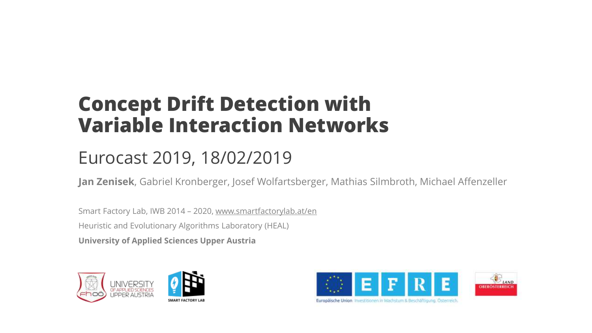### **Concept Drift Detection with Variable Interaction Networks**

### Eurocast 2019, 18/02/2019

**Jan Zenisek**, Gabriel Kronberger, Josef Wolfartsberger, Mathias Silmbroth, Michael Affenzeller

Smart Factory Lab, IWB 2014 – 2020, www.smartfactorylab.at/en Heuristic and Evolutionary Algorithms Laboratory (HEAL) **University of Applied Sciences Upper Austria**





Europäische Union Thvestitionen in Wachstum & Beschäftigung. Österreich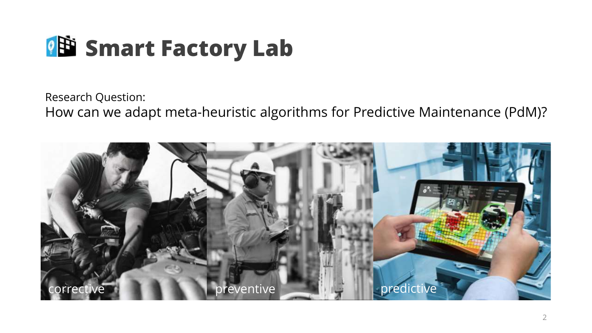

Research Question: How can we adapt meta-heuristic algorithms for Predictive Maintenance (PdM)?

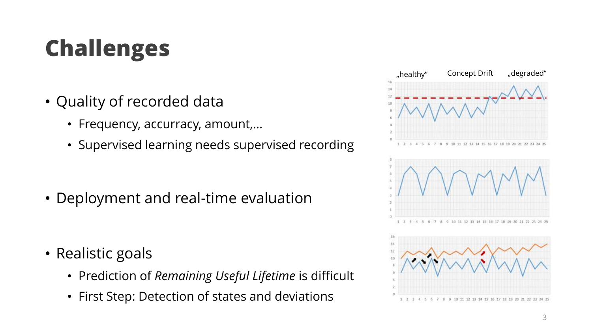# **Challenges**

- Quality of recorded data
	- Frequency, accurracy, amount,…
	- Supervised learning needs supervised recording

• Deployment and real-time evaluation

- Realistic goals
	- Prediction of *Remaining Useful Lifetime* is difficult
	- First Step: Detection of states and deviations

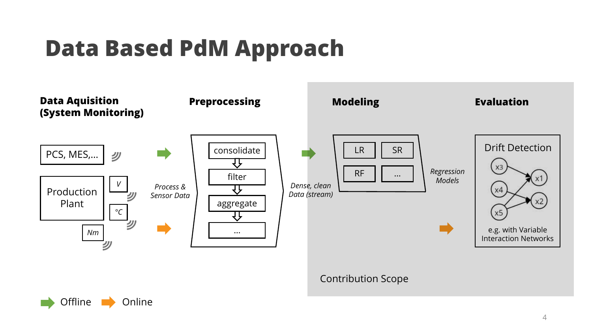# **Data Based PdM Approach**





4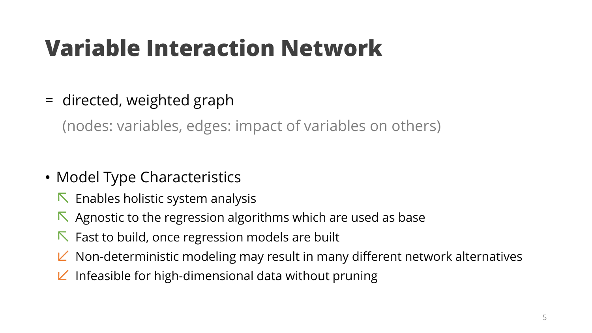# **Variable Interaction Network**

= directed, weighted graph

(nodes: variables, edges: impact of variables on others)

- Model Type Characteristics
	- $\nabla$  Enables holistic system analysis
	- $\nabla$  Agnostic to the regression algorithms which are used as base
	- $\nabla$  Fast to build, once regression models are built
	- $\angle$  Non-deterministic modeling may result in many different network alternatives
	- $\angle$  Infeasible for high-dimensional data without pruning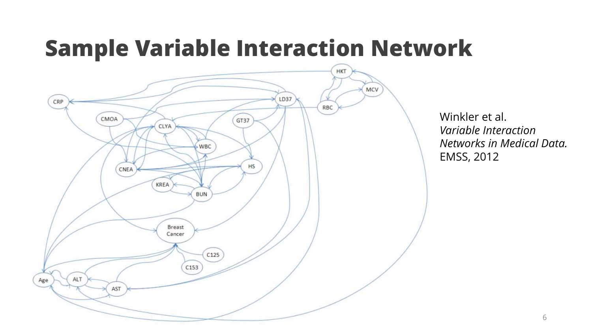## **Sample Variable Interaction Network**



Winkler et al. *Variable Interaction Networks in Medical Data.* EMSS, 2012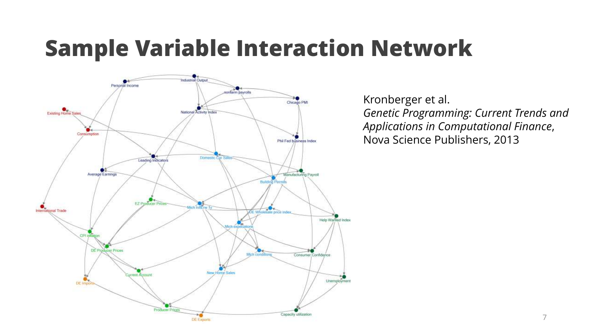## **Sample Variable Interaction Network**



Kronberger et al. *Genetic Programming: Current Trends and Applications in Computational Finance*, Nova Science Publishers, 2013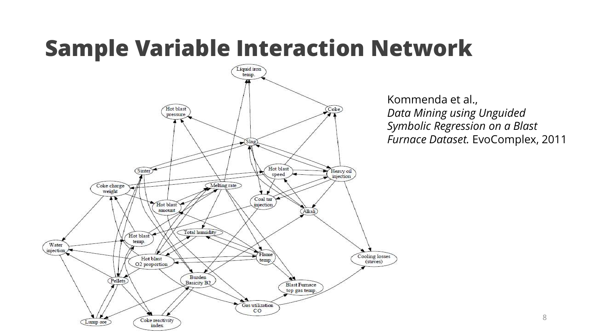## **Sample Variable Interaction Network**



Kommenda et al., *Data Mining using Unguided Symbolic Regression on a Blast Furnace Dataset.* EvoComplex, 2011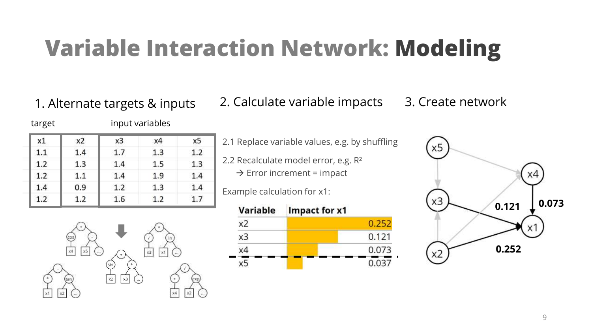# **Variable Interaction Network: Modeling**

target input variables

1. Alternate targets & inputs 2. Calculate variable impacts 3. Create network

| x1  | x2  | xЗ  | x4  | х5  |
|-----|-----|-----|-----|-----|
| 1.1 | 1.4 | 1.7 | 1.3 | 1.2 |
| 1.2 | 1.3 | 1.4 | 1.5 | 1.3 |
| 1.2 | 1.1 | 1.4 | 1.9 | 1.4 |
| 1.4 | 0.9 | 1.2 | 1.3 | 1.4 |
| 1.2 | 1.2 | 1.6 | 1.2 | 1.7 |

2.1 Replace variable values, e.g. by shuffling

2.2 Recalculate model error, e.g. R²  $\rightarrow$  Error increment = impact

Example calculation for x1:





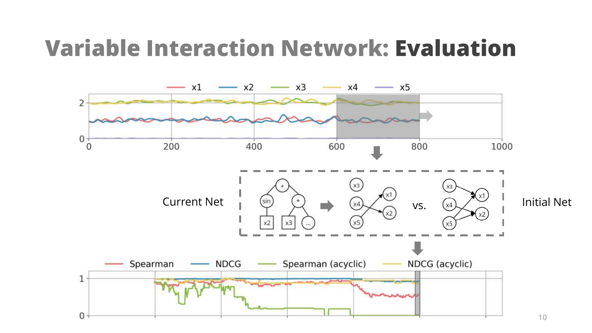### **Variable Interaction Network: Evaluation**

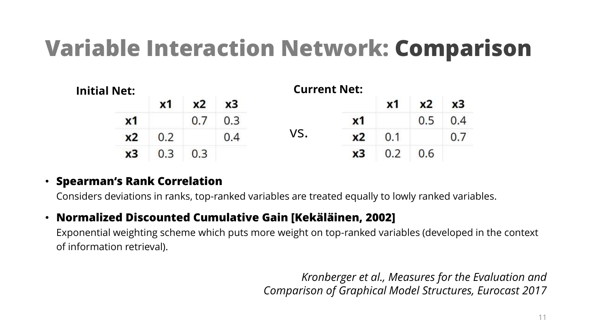## **Variable Interaction Network: Comparison**

| <b>Initial Net:</b> |                | <b>Current Net:</b> |    |     |     |                |    |     |                |  |  |
|---------------------|----------------|---------------------|----|-----|-----|----------------|----|-----|----------------|--|--|
|                     |                | x <sub>1</sub>      | x2 | x3  |     |                | x1 | x2  | x <sub>3</sub> |  |  |
|                     | $x_1$          |                     |    |     |     | $x_1$          |    | 0.5 | 0.4            |  |  |
|                     | x <sub>2</sub> | 0.2                 |    | 0.4 | VS. | x <sub>2</sub> |    |     |                |  |  |
|                     | x3             |                     |    |     |     | x3             |    | 0.6 |                |  |  |

#### • **Spearman's Rank Correlation**

Considers deviations in ranks, top-ranked variables are treated equally to lowly ranked variables.

#### • **Normalized Discounted Cumulative Gain [Kekäläinen, 2002]**

Exponential weighting scheme which puts more weight on top-ranked variables (developed in the context of information retrieval).

> *Kronberger et al., Measures for the Evaluation and Comparison of Graphical Model Structures, Eurocast 2017*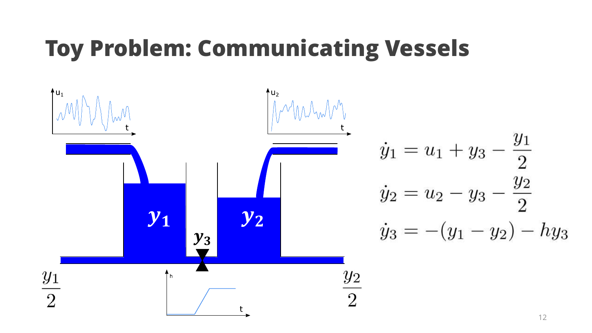# **Toy Problem: Communicating Vessels**

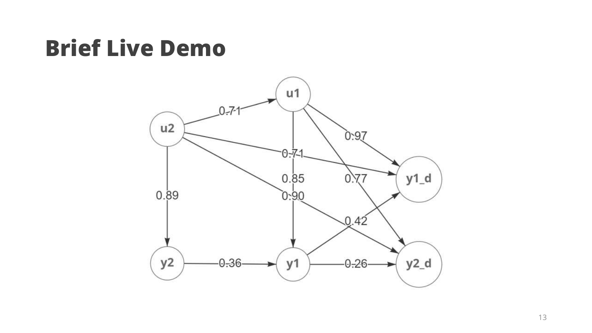## **Brief Live Demo**

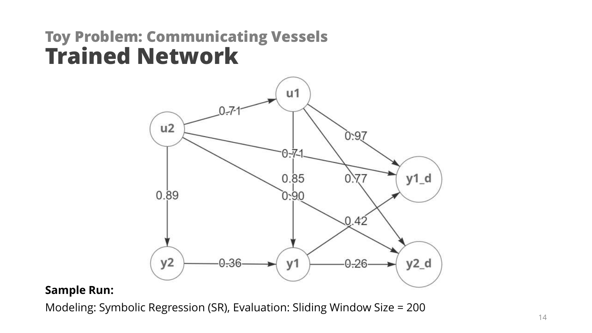#### **Toy Problem: Communicating Vessels Trained Network**



#### **Sample Run:**

Modeling: Symbolic Regression (SR), Evaluation: Sliding Window Size = 200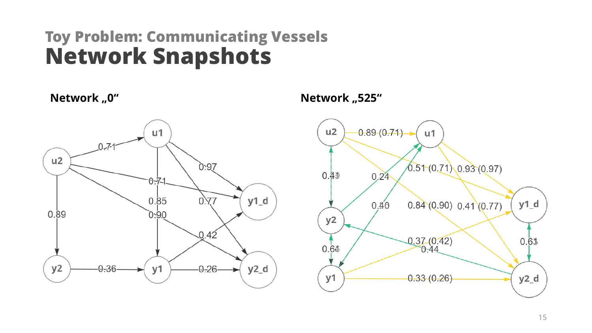### **Toy Problem: Communicating Vessels Network Snapshots**



Network "0" **Network "20"** Network "10" **Network** "10" 10" 11

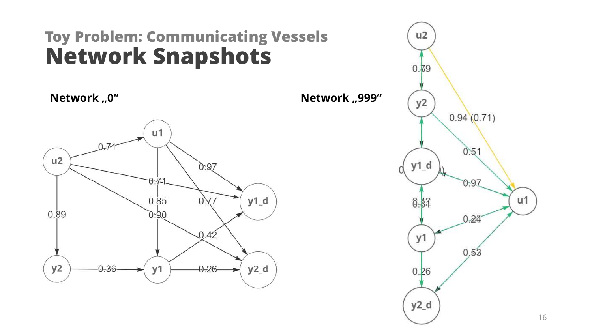### **Toy Problem: Communicating Vessels Network Snapshots**

**Network "0" Network " Network " Network"** 



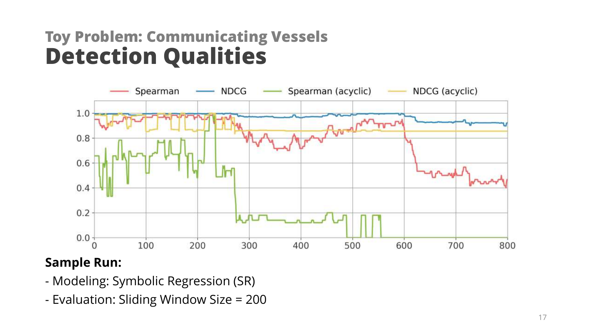### **Toy Problem: Communicating Vessels Detection Qualities**



#### **Sample Run:**

- Modeling: Symbolic Regression (SR)
- Evaluation: Sliding Window Size = 200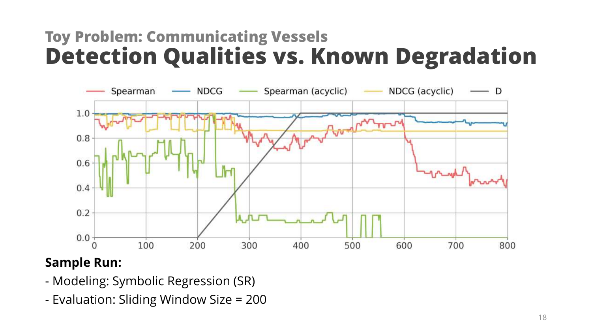### **Toy Problem: Communicating Vessels Detection Qualities vs. Known Degradation**



#### **Sample Run:**

- Modeling: Symbolic Regression (SR)
- Evaluation: Sliding Window Size = 200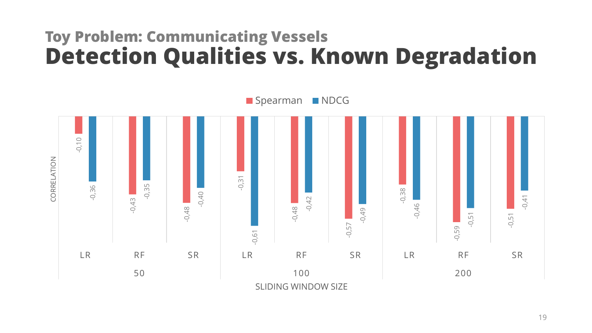### **Toy Problem: Communicating Vessels Detection Qualities vs. Known Degradation**



19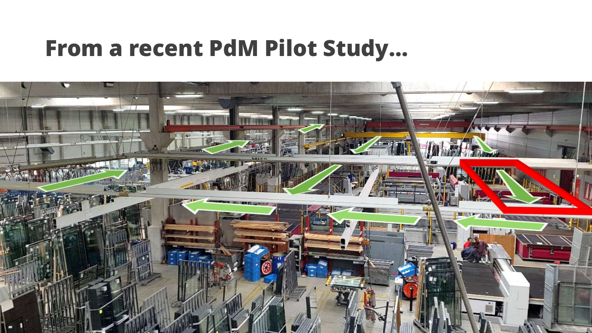### **From a recent PdM Pilot Study…**

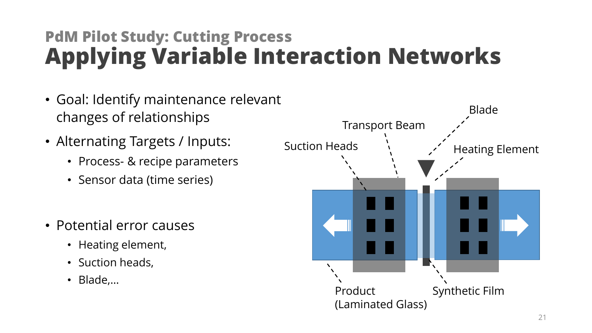### **PdM Pilot Study: Cutting Process Applying Variable Interaction Networks**

- Goal: Identify maintenance relevant changes of relationships
- Alternating Targets / Inputs:
	- Process- & recipe parameters
	- Sensor data (time series)
- Potential error causes
	- Heating element,
	- Suction heads,
	- Blade,…

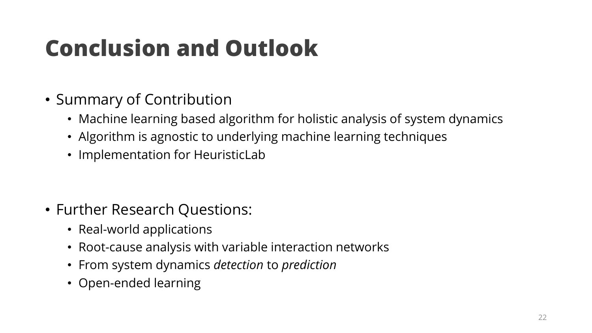# **Conclusion and Outlook**

- Summary of Contribution
	- Machine learning based algorithm for holistic analysis of system dynamics
	- Algorithm is agnostic to underlying machine learning techniques
	- Implementation for HeuristicLab

- Further Research Questions:
	- Real-world applications
	- Root-cause analysis with variable interaction networks
	- From system dynamics *detection* to *prediction*
	- Open-ended learning